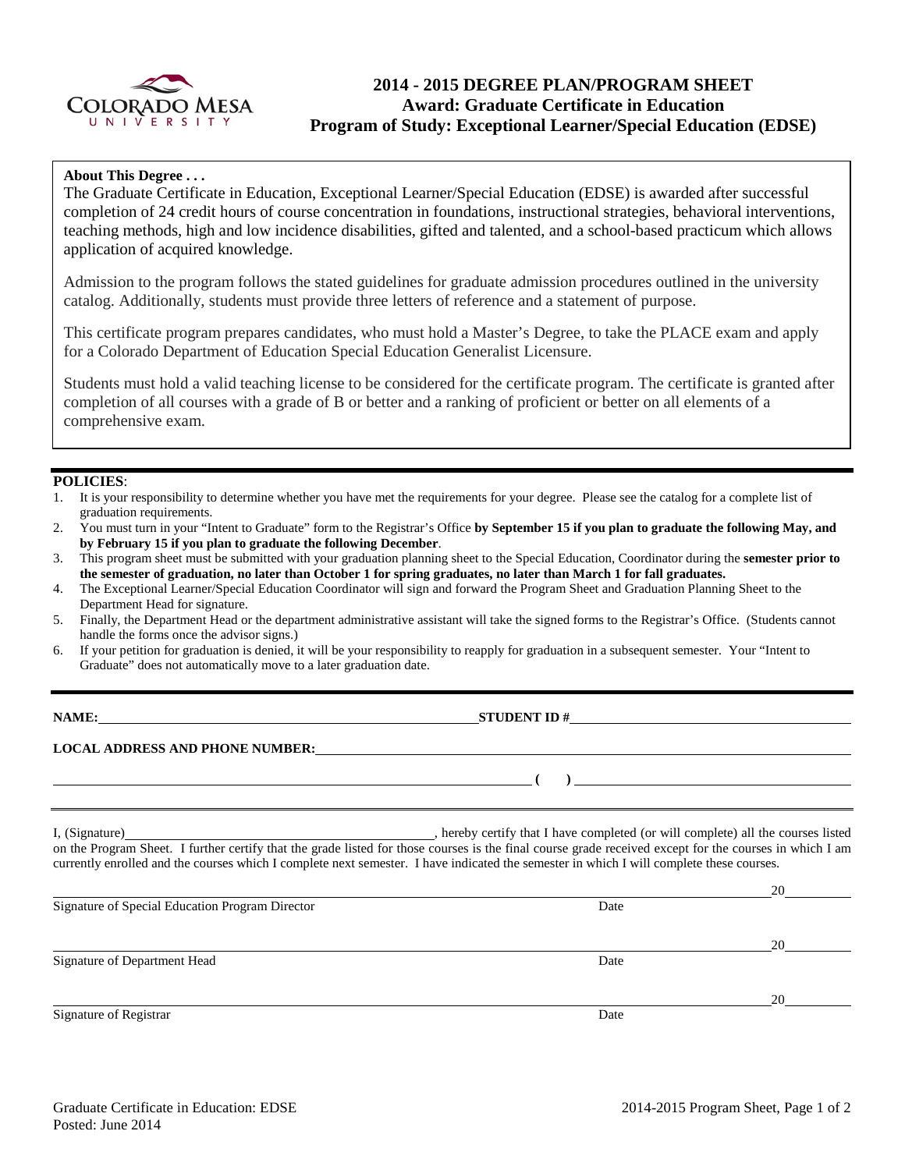

# **2014 - 2015 DEGREE PLAN/PROGRAM SHEET Award: Graduate Certificate in Education Program of Study: Exceptional Learner/Special Education (EDSE)**

### **About This Degree . . .**

The Graduate Certificate in Education, Exceptional Learner/Special Education (EDSE) is awarded after successful completion of 24 credit hours of course concentration in foundations, instructional strategies, behavioral interventions, teaching methods, high and low incidence disabilities, gifted and talented, and a school-based practicum which allows application of acquired knowledge.

Admission to the program follows the stated guidelines for graduate admission procedures outlined in the university catalog. Additionally, students must provide three letters of reference and a statement of purpose.

This certificate program prepares candidates, who must hold a Master's Degree, to take the PLACE exam and apply for a Colorado Department of Education Special Education Generalist Licensure.

Students must hold a valid teaching license to be considered for the certificate program. The certificate is granted after completion of all courses with a grade of B or better and a ranking of proficient or better on all elements of a comprehensive exam.

### **POLICIES**:

- 1. It is your responsibility to determine whether you have met the requirements for your degree. Please see the catalog for a complete list of graduation requirements.
- 2. You must turn in your "Intent to Graduate" form to the Registrar's Office **by September 15 if you plan to graduate the following May, and by February 15 if you plan to graduate the following December**.
- 3. This program sheet must be submitted with your graduation planning sheet to the Special Education, Coordinator during the **semester prior to the semester of graduation, no later than October 1 for spring graduates, no later than March 1 for fall graduates.**
- 4. The Exceptional Learner/Special Education Coordinator will sign and forward the Program Sheet and Graduation Planning Sheet to the Department Head for signature.
- 5. Finally, the Department Head or the department administrative assistant will take the signed forms to the Registrar's Office. (Students cannot handle the forms once the advisor signs.)
- 6. If your petition for graduation is denied, it will be your responsibility to reapply for graduation in a subsequent semester. Your "Intent to Graduate" does not automatically move to a later graduation date.

**STUDENT ID #** 

**( )** 

### **LOCAL ADDRESS AND PHONE NUMBER:**

I, (Signature) , hereby certify that I have completed (or will complete) all the courses listed on the Program Sheet. I further certify that the grade listed for those courses is the final course grade received except for the courses in which I am currently enrolled and the courses which I complete next semester. I have indicated the semester in which I will complete these courses.

|                                                 |      | ZU. |
|-------------------------------------------------|------|-----|
| Signature of Special Education Program Director | Date |     |
|                                                 |      | 20  |
| Signature of Department Head                    | Date |     |
|                                                 |      | 20  |
| Signature of Registrar                          | Date |     |

 $20$